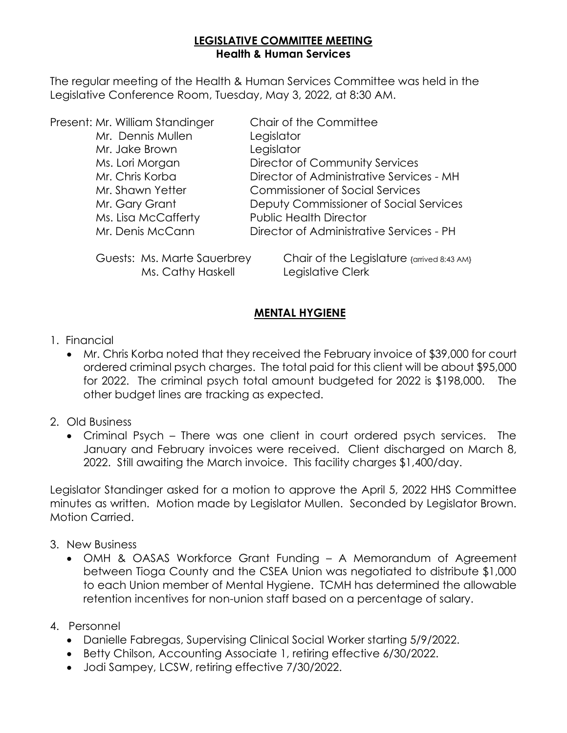### **LEGISLATIVE COMMITTEE MEETING Health & Human Services**

The regular meeting of the Health & Human Services Committee was held in the Legislative Conference Room, Tuesday, May 3, 2022, at 8:30 AM.

| Present: Mr. William Standinger | Chair of the Committee                   |
|---------------------------------|------------------------------------------|
| Mr. Dennis Mullen               | Legislator                               |
| Mr. Jake Brown                  | Legislator                               |
| Ms. Lori Morgan                 | Director of Community Services           |
| Mr. Chris Korba                 | Director of Administrative Services - MH |
| Mr. Shawn Yetter                | <b>Commissioner of Social Services</b>   |
| Mr. Gary Grant                  | Deputy Commissioner of Social Services   |
| Ms. Lisa McCafferty             | <b>Public Health Director</b>            |
| Mr. Denis McCann                | Director of Administrative Services - PH |
|                                 |                                          |

Ms. Cathy Haskell Legislative Clerk

Guests: Ms. Marte Sauerbrey Chair of the Legislature {arrived 8:43 AM}

### **MENTAL HYGIENE**

### 1. Financial

- Mr. Chris Korba noted that they received the February invoice of \$39,000 for court ordered criminal psych charges. The total paid for this client will be about \$95,000 for 2022. The criminal psych total amount budgeted for 2022 is \$198,000. The other budget lines are tracking as expected.
- 2. Old Business
	- Criminal Psych There was one client in court ordered psych services. The January and February invoices were received. Client discharged on March 8, 2022. Still awaiting the March invoice. This facility charges \$1,400/day.

Legislator Standinger asked for a motion to approve the April 5, 2022 HHS Committee minutes as written. Motion made by Legislator Mullen. Seconded by Legislator Brown. Motion Carried.

- 3. New Business
	- OMH & OASAS Workforce Grant Funding A Memorandum of Agreement between Tioga County and the CSEA Union was negotiated to distribute \$1,000 to each Union member of Mental Hygiene. TCMH has determined the allowable retention incentives for non-union staff based on a percentage of salary.
- 4. Personnel
	- Danielle Fabregas, Supervising Clinical Social Worker starting 5/9/2022.
	- Betty Chilson, Accounting Associate 1, retiring effective 6/30/2022.
	- Jodi Sampey, LCSW, retiring effective 7/30/2022.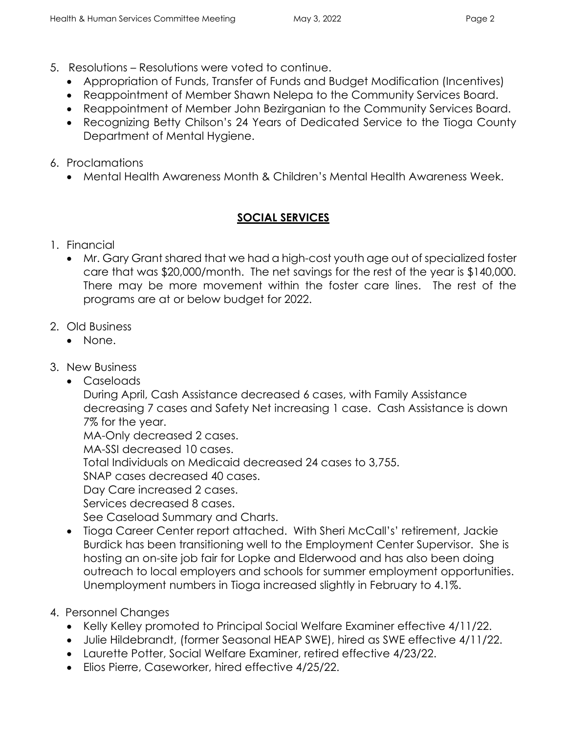- 5. Resolutions Resolutions were voted to continue.
	- Appropriation of Funds, Transfer of Funds and Budget Modification (Incentives)
	- Reappointment of Member Shawn Nelepa to the Community Services Board.
	- Reappointment of Member John Bezirganian to the Community Services Board.
	- Recognizing Betty Chilson's 24 Years of Dedicated Service to the Tioga County Department of Mental Hygiene.
- 6. Proclamations
	- Mental Health Awareness Month & Children's Mental Health Awareness Week.

# **SOCIAL SERVICES**

- 1. Financial
	- Mr. Gary Grant shared that we had a high-cost youth age out of specialized foster care that was \$20,000/month. The net savings for the rest of the year is \$140,000. There may be more movement within the foster care lines. The rest of the programs are at or below budget for 2022.
- 2. Old Business
	- None.
- 3. New Business
	- Caseloads

During April, Cash Assistance decreased 6 cases, with Family Assistance decreasing 7 cases and Safety Net increasing 1 case. Cash Assistance is down 7% for the year.

MA-Only decreased 2 cases.

MA-SSI decreased 10 cases.

Total Individuals on Medicaid decreased 24 cases to 3,755.

SNAP cases decreased 40 cases.

Day Care increased 2 cases.

Services decreased 8 cases.

See Caseload Summary and Charts.

• Tioga Career Center report attached. With Sheri McCall's' retirement, Jackie Burdick has been transitioning well to the Employment Center Supervisor. She is hosting an on-site job fair for Lopke and Elderwood and has also been doing outreach to local employers and schools for summer employment opportunities. Unemployment numbers in Tioga increased slightly in February to 4.1%.

# 4. Personnel Changes

- Kelly Kelley promoted to Principal Social Welfare Examiner effective 4/11/22.
- Julie Hildebrandt, (former Seasonal HEAP SWE), hired as SWE effective 4/11/22.
- Laurette Potter, Social Welfare Examiner, retired effective 4/23/22.
- Elios Pierre, Caseworker, hired effective 4/25/22.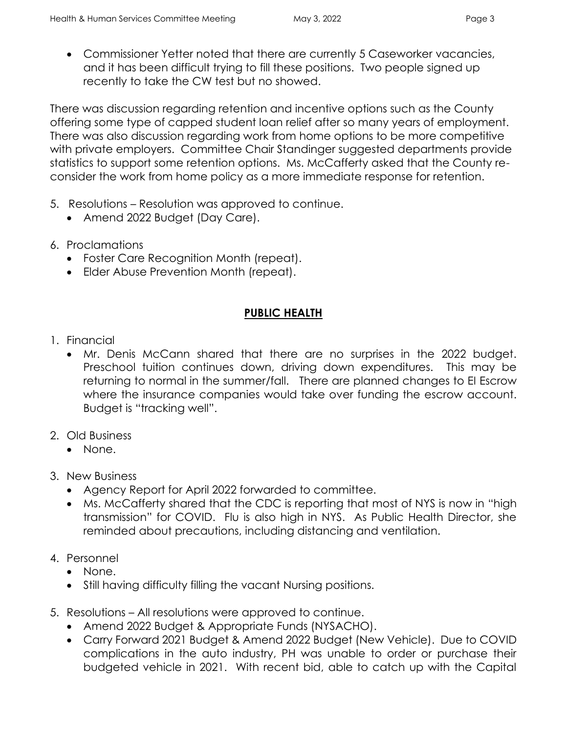- 
- Commissioner Yetter noted that there are currently 5 Caseworker vacancies, and it has been difficult trying to fill these positions. Two people signed up recently to take the CW test but no showed.

There was discussion regarding retention and incentive options such as the County offering some type of capped student loan relief after so many years of employment. There was also discussion regarding work from home options to be more competitive with private employers. Committee Chair Standinger suggested departments provide statistics to support some retention options. Ms. McCafferty asked that the County reconsider the work from home policy as a more immediate response for retention.

- 5. Resolutions Resolution was approved to continue.
	- Amend 2022 Budget (Day Care).
- 6. Proclamations
	- Foster Care Recognition Month (repeat).
	- Elder Abuse Prevention Month (repeat).

### **PUBLIC HEALTH**

- 1. Financial
	- Mr. Denis McCann shared that there are no surprises in the 2022 budget. Preschool tuition continues down, driving down expenditures. This may be returning to normal in the summer/fall. There are planned changes to EI Escrow where the insurance companies would take over funding the escrow account. Budget is "tracking well".
- 2. Old Business
	- None.
- 3. New Business
	- Agency Report for April 2022 forwarded to committee.
	- Ms. McCafferty shared that the CDC is reporting that most of NYS is now in "high transmission" for COVID. Flu is also high in NYS. As Public Health Director, she reminded about precautions, including distancing and ventilation.
- 4. Personnel
	- None.
	- Still having difficulty filling the vacant Nursing positions.
- 5. Resolutions All resolutions were approved to continue.
	- Amend 2022 Budget & Appropriate Funds (NYSACHO).
	- Carry Forward 2021 Budget & Amend 2022 Budget (New Vehicle). Due to COVID complications in the auto industry, PH was unable to order or purchase their budgeted vehicle in 2021. With recent bid, able to catch up with the Capital